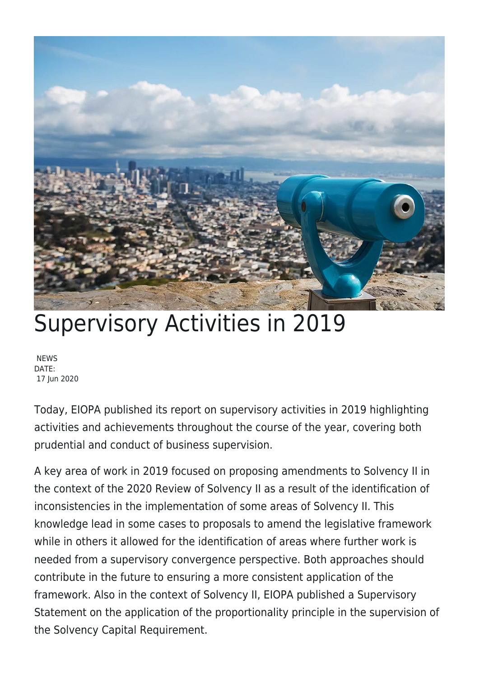

## Supervisory Activities in 2019

NEWS DATE: 17 Jun 2020

Today, EIOPA published its report on supervisory activities in 2019 highlighting activities and achievements throughout the course of the year, covering both prudential and conduct of business supervision.

A key area of work in 2019 focused on proposing amendments to Solvency II in the context of the 2020 Review of Solvency II as a result of the identification of inconsistencies in the implementation of some areas of Solvency II. This knowledge lead in some cases to proposals to amend the legislative framework while in others it allowed for the identification of areas where further work is needed from a supervisory convergence perspective. Both approaches should contribute in the future to ensuring a more consistent application of the framework. Also in the context of Solvency II, EIOPA published a Supervisory Statement on the application of the proportionality principle in the supervision of the Solvency Capital Requirement.